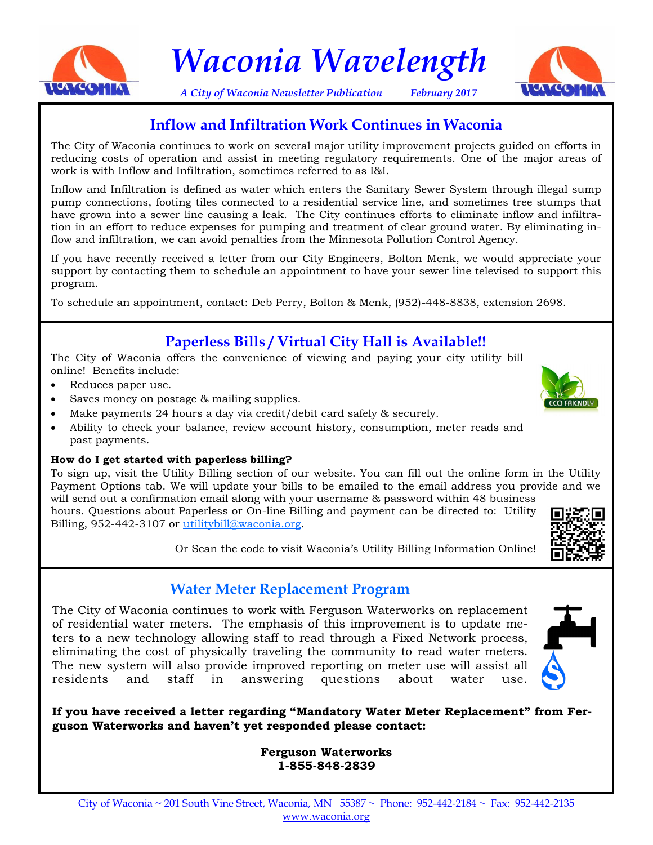

*Waconia Wavelength*

*A City of Waconia Newsletter Publication February 2017*



# **Inflow and Infiltration Work Continues in Waconia**

The City of Waconia continues to work on several major utility improvement projects guided on efforts in reducing costs of operation and assist in meeting regulatory requirements. One of the major areas of work is with Inflow and Infiltration, sometimes referred to as I&I.

Inflow and Infiltration is defined as water which enters the Sanitary Sewer System through illegal sump pump connections, footing tiles connected to a residential service line, and sometimes tree stumps that have grown into a sewer line causing a leak. The City continues efforts to eliminate inflow and infiltration in an effort to reduce expenses for pumping and treatment of clear ground water. By eliminating inflow and infiltration, we can avoid penalties from the Minnesota Pollution Control Agency.

If you have recently received a letter from our City Engineers, Bolton Menk, we would appreciate your support by contacting them to schedule an appointment to have your sewer line televised to support this program.

To schedule an appointment, contact: Deb Perry, Bolton & Menk, (952)-448-8838, extension 2698.

# **Paperless Bills / Virtual City Hall is Available!!**

The City of Waconia offers the convenience of viewing and paying your city utility bill online! Benefits include:

- Reduces paper use.
- Saves money on postage & mailing supplies.
- Make payments 24 hours a day via credit/debit card safely & securely.
- Ability to check your balance, review account history, consumption, meter reads and past payments.

#### **How do I get started with paperless billing?**

To sign up, visit the Utility Billing section of our website. You can fill out the online form in the Utility Payment Options tab. We will update your bills to be emailed to the email address you provide and we will send out a confirmation email along with your username & password within 48 business

hours. Questions about Paperless or On-line Billing and payment can be directed to: Utility Billing, 952-442-3107 or [utilitybill@waconia.org.](mailto:utilitybilling@waconia.org)



Or Scan the code to visit Waconia's Utility Billing Information Online!

# **Water Meter Replacement Program**

The City of Waconia continues to work with Ferguson Waterworks on replacement of residential water meters. The emphasis of this improvement is to update meters to a new technology allowing staff to read through a Fixed Network process, eliminating the cost of physically traveling the community to read water meters. The new system will also provide improved reporting on meter use will assist all residents and staff in answering questions about water use.



**If you have received a letter regarding "Mandatory Water Meter Replacement" from Ferguson Waterworks and haven't yet responded please contact:**

> **Ferguson Waterworks 1-855-848-2839**